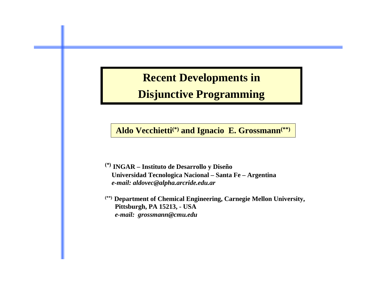# **Recent Developments in**

## **Disjunctive Programming**

**Aldo Vecchietti(\*) and Ignacio E. Grossmann(\*\*)**

**(\*) INGAR – Instituto de Desarrollo y Diseño Universidad Tecnologica Nacional – Santa Fe – Argentina** *e-mail: aldovec@alpha.arcride.edu.ar*

**(\*\*) Department of Chemical Engineering, Carnegie Mellon University, Pittsburgh, PA 15213, - USA** *e-mail: grossmann@cmu.edu*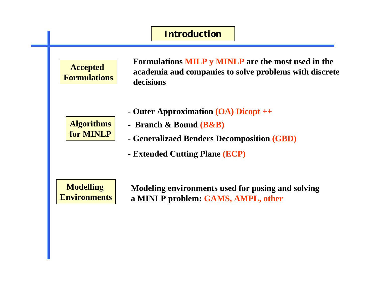## **Accepted Formulations Formulations MILP y MINLP are the most used in the academia and companies to solve problems with discrete decisions Algorithms for MINLP Modelling Environments Modeling environments used for posing and solving a MINLP problem: GAMS, AMPL, other Introduction - Outer Approximation (OA) Dicopt ++ - Extended Cutting Plane (ECP) - Generalizaed Benders Decomposition (GBD) - Branch & Bound (B&B)**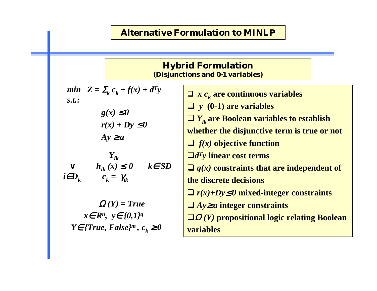#### **Alternative Formulation to MINLP**

#### **Hybrid Formulation (Disjunctions and 0-1 variables)** *min*  $Z = \sum_k c_k + f(x) + d^T y$ *s.t.:*  $g(x) \leq 0$  $r(x) + Dy \leq 0$  $Ay \geq a$ *Yik* <sup>∨</sup> *hik (x)* <sup>≤</sup> *0 k*<sup>∈</sup> *SD*  $i \in D_k$   $\vert$   $c_k$  =  $\gamma_{ik}$  $\Omega(Y) = True$ *<sup>x</sup>*<sup>∈</sup> *Rn, y*<sup>∈</sup> *{0,1}q Y*∈ *{True, False}<sup>m</sup>,*  $c_k$  *≥ 0*  $\Box$  *x*  $c_k$  are continuous variables *y* **(0-1) are variables** *Yik* **are Boolean variables to establish whether the disjunctive term is true or not** *f(x)* **objective function** *dTy* **linear cost terms**  $\Box$  *g(x)* constraints that are independent of **the discrete decisions** *r(x)+Dy*<sup>≤</sup> *0* **mixed-integer constraints** *Ay*<sup>≥</sup> *<sup>a</sup>* **integer constraints** Ω *(Y)* **propositional logic relating Boolean variables**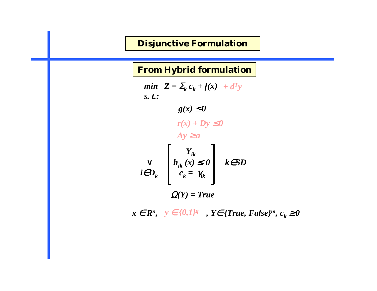#### **Disjunctive Formulation**

**From Hybrid formulation**

*min*  $Z = \sum_k c_k + f(x) + d^T y$ *s. t.:*  $g(x) \leq 0$ *Yik* <sup>∨</sup> *hik (x)* <sup>≤</sup> *0 k*∈*SD*  $i \in D_k$  |  $c_k$  =  $\gamma_{ik}$ Ω*(Y) = True*  $r(x) + Dy \leq 0$  $Ay \ge a$ 

*x*∈  $R^n$ ,  $y \in \{0,1\}^q$ ,  $Y \in \{True, False\}^m$ ,  $c_k ≥ 0$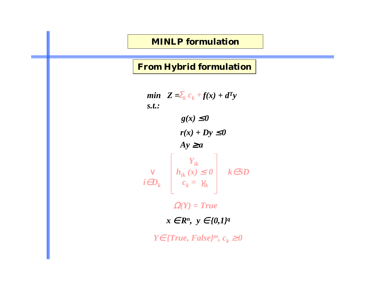#### **MINLP formulation**

#### **From Hybrid formulation**

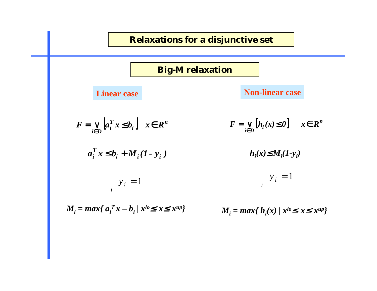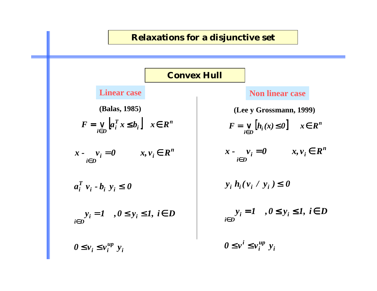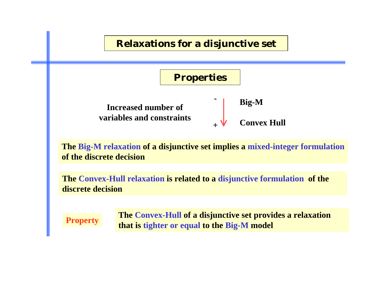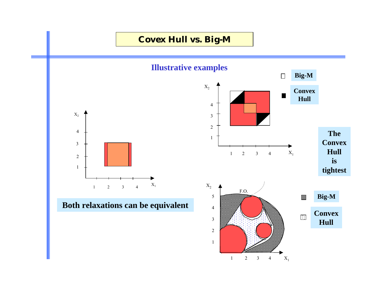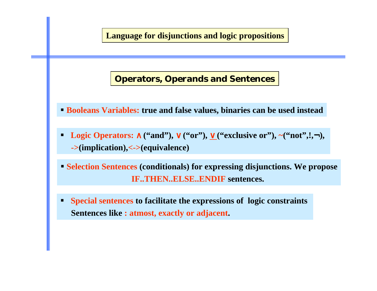![](_page_9_Figure_0.jpeg)

#### **Operators, Operands and Sentences**

- **Booleans Variables: true and false values, binaries can be used instead**
- -■ Logic Operators:  $\land$  ("and"),  $\lor$  ("or"),  $\lor$  ("exclusive or"), ~("not",!,¬), **->(implication),<->(equivalence)**
- **Selection Sentences (conditionals) for expressing disjunctions. We propose IF..THEN..ELSE..ENDIF sentences.**
- - **Special sentences to facilitate the expressions of logic constraints Sentences like : atmost, exactly or adjacent.**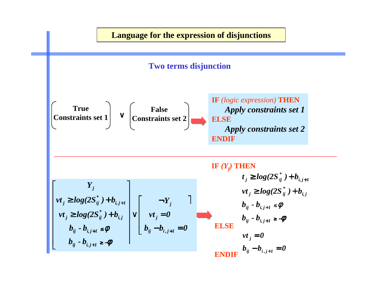![](_page_10_Figure_0.jpeg)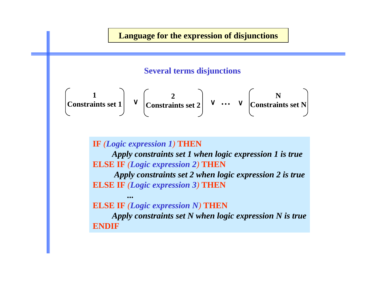#### **Language for the expression of disjunctions**

#### **Several terms disjunctions**

$$
\begin{pmatrix} 1 \\ \text{Constraints set 1} \end{pmatrix} \vee \begin{pmatrix} 2 \\ \text{Constraints set 2} \end{pmatrix} \vee \cdots \vee \begin{pmatrix} N \\ \text{Constraints set N} \end{pmatrix}
$$

**IF**  *(Logic expression 1)* **THEN** *Apply constraints set 1 when logic expression 1 is true* **ELSE IF**  *(Logic expression 2)* **THEN**

*Apply constraints set 2 when logic expression 2 is true* **ELSE IF**  *(Logic expression 3)* **THEN**

**ELSE IF**  *(Logic expression N)* **THEN**

**...**

*Apply constraints set N when logic expression N is true* **ENDIF**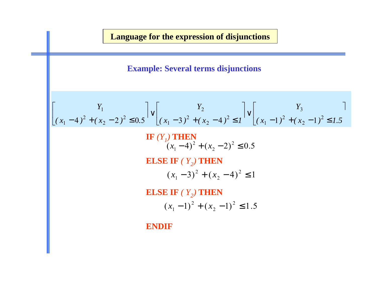**Language for the expression of disjunctions**

**Example: Several terms disjunctions**

$$
\begin{bmatrix} Y_1 \\ (x_1 - 4)^2 + (x_2 - 2)^2 \le 0.5 \end{bmatrix} \vee \begin{bmatrix} Y_2 \\ (x_1 - 3)^2 + (x_2 - 4)^2 \le 1 \end{bmatrix} \vee \begin{bmatrix} Y_3 \\ (x_1 - 1)^2 + (x_2 - 1)^2 \le 1.5 \end{bmatrix}
$$
  
  
**IF**  $(Y_1)$  **THEN**  
 $(x_1 - 4)^2 + (x_2 - 2)^2 \le 0.5$   
  
**ELSE IF**  $(Y_2)$  **THEN**  
 $(x_1 - 3)^2 + (x_2 - 4)^2 \le 1$   
  
**ELSE IF**  $(Y_2)$  **THEN**  
 $(x_1 - 1)^2 + (x_2 - 1)^2 \le 1.5$ 

**ENDIF**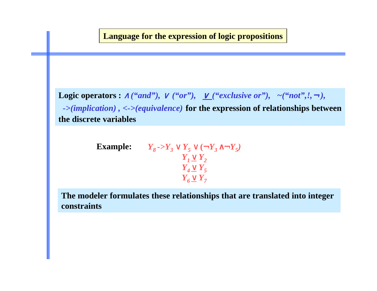#### **Language for the expression of logic propositions**

Logic operators  $: \wedge$  *("and"),*  $\vee$  *("or"),*  $\underline{\vee}$  *("exclusive or"),*  $\sim$  *("not",!,*  $\rightarrow$  *), ->(implication) , <->(equivalence)* **for the expression of relationships between the discrete variables**

**Example:** 
$$
Y_8 \rightarrow Y_3 \lor Y_5 \lor (\neg Y_3 \land \neg Y_5)
$$
  
\n $Y_1 \lor Y_2$   
\n $Y_4 \lor Y_5$   
\n $Y_6 \lor Y_7$ 

**The modeler formulates these relationships that are translated into integer constraints**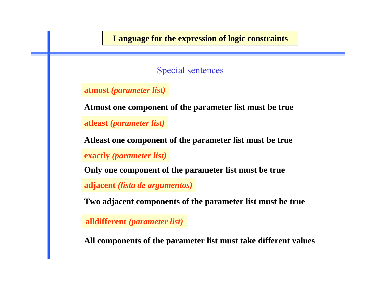**Language for the expression of logic constraints**

Special sentences

**atmost** *(parameter list)*

**Atmost one component of the parameter list must be true**

**atleast** *(parameter list)*

**Atleast one component of the parameter list must be true**

**exactly** *(parameter list)*

**Only one component of the parameter list must be true**

**adjacent** *(lista de argumentos)*

**Two adjacent components of the parameter list must be true**

**alldifferent** *(parameter list)*

**All components of the parameter list must take different values**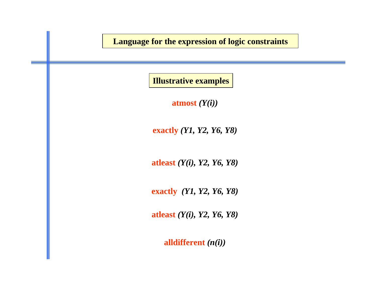**Language for the expression of logic constraints**

**Illustrative examples**

**atmost** *(Y(i))*

**exactly** *(Y1, Y2, Y6, Y8)*

**atleast** *(Y(i), Y2, Y6, Y8)*

**exactly** *(Y1, Y2, Y6, Y8)*

**atleast** *(Y(i), Y2, Y6, Y8)*

**alldifferent** *(n(i))*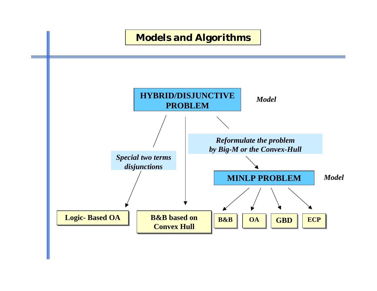![](_page_16_Figure_0.jpeg)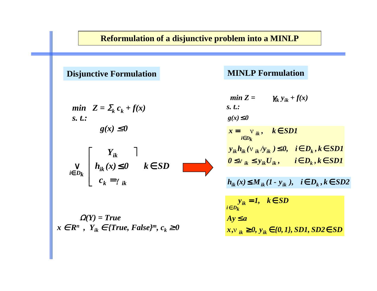#### **Reformulation of a disjunctive problem into a MINLP**

**Disjunctive Formulation MINLP Formulation**

min 
$$
Z = \sum_k c_k + f(x)
$$
  
s. t.:  
 $g(x) \le 0$ 

$$
\bigvee_{i \in D_k} \left[ \begin{array}{cc} Y_{ik} & \cdots \\ h_{ik}(x) \leq 0 & k \in SD \\ c_k = \gamma_{ik} \end{array} \right]
$$

Ω*(Y) = True*  $x \in \mathbb{R}^n$ ,  $Y_{ik} \in \{True, False\}^m$ ,  $c_k \ge 0$ 

min Z = 
$$
\gamma_{ik} y_{ik} + f(x)
$$
  
\ns. t.:  
\ng(x)  $\leq 0$   
\n $x = \mathbf{v}_{ik}, \quad k \in SD1$   
\n $y_{ik} h_{ik} (\mathbf{v}_{ik} / y_{ik}) \leq 0, \quad i \in D_k, k \in SD1$   
\n $0 \leq \mathbf{v}_{ik} \leq y_{ik} U_{ik}, \quad i \in D_k, k \in SD1$   
\n $h_{ik}(x) \leq M_{ik} (1 - y_{ik}), \quad i \in D_k, k \in SD2$   
\n $y_{ik} = 1, \quad k \in SD$   
\n $i \in D_k$   
\n $A y \leq a$   
\n $x, y_{ik} \geq 0, y_{ik} \in \{0, 1\}, SD1, SD2 \in SD$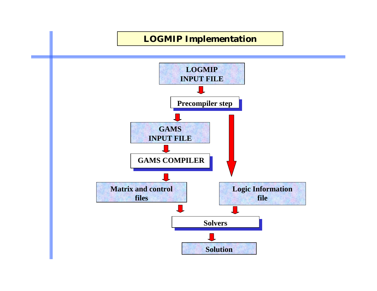![](_page_18_Figure_0.jpeg)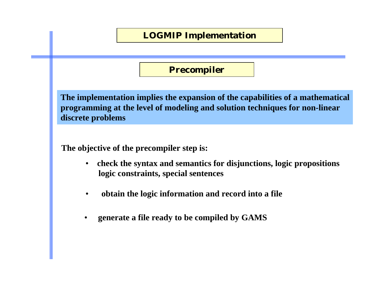![](_page_19_Figure_0.jpeg)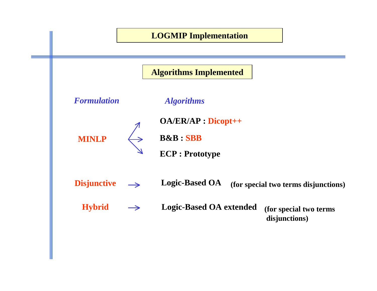![](_page_20_Figure_0.jpeg)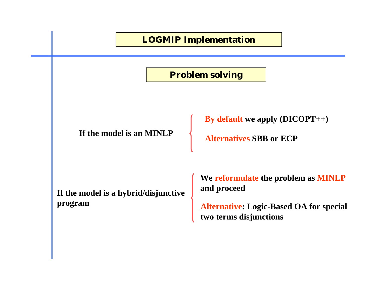![](_page_21_Figure_0.jpeg)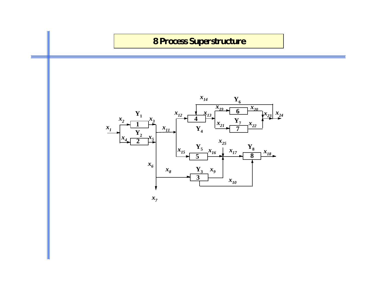![](_page_22_Figure_0.jpeg)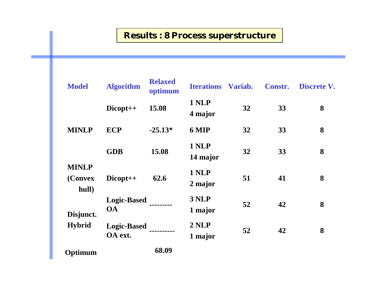## **Results : 8 Process superstructure**

| <b>Model</b>                     | <b>Algorithm</b>                | <b>Relaxed</b><br>optimum | <b>Iterations Variab.</b> |    | <b>Constr.</b> | Discrete V. |
|----------------------------------|---------------------------------|---------------------------|---------------------------|----|----------------|-------------|
| <b>MINLP</b>                     | Dicopt++                        | 15.08                     | 1 NLP<br>4 major          | 32 | 33             | 8           |
|                                  | <b>ECP</b>                      | $-25.13*$                 | 6 MIP                     | 32 | 33             | 8           |
|                                  | <b>GDB</b>                      | 15.08                     | 1 NLP<br>14 major         | 32 | 33             | 8           |
| <b>MINLP</b><br>(Convex<br>hull) | Dicopt++                        | 62.6                      | 1 NLP<br>2 major          | 51 | 41             | 8           |
| Disjunct.<br><b>Hybrid</b>       | <b>Logic-Based</b><br><b>OA</b> |                           | 3 NLP<br>1 major          | 52 | 42             | 8           |
|                                  | <b>Logic-Based</b><br>OA ext.   |                           | 2 NLP<br>1 major          | 52 | 42             | 8           |
| Optimum                          |                                 | 68.09                     |                           |    |                |             |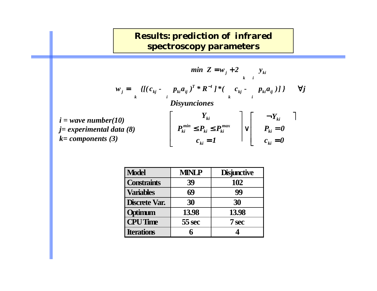## **Results: prediction of infrared spectroscopy parameters**

$$
\min \ Z = w_j + 2 \qquad y_{ki}
$$
\n
$$
w_j = \n\begin{cases}\n\left\{ \left[ (c_{kj} - p_{ki} a_{ij})^T * R^{-1} \right] * (c_{kj} - p_{ki} a_{ij}) \right] \right\} & \forall j \\
\text{Disyunciones} \\
i = \text{wave number}(10) \\
j = \text{experimental data (8)} \\
k = \text{components (3)}\n\end{cases}\n\qquad\n\left[\n\begin{array}{c}\nY_{ki} \\
P_{ki} \le P_{ki} \le P_{ki}^{max} \\
c_{ki} = 1\n\end{array}\n\right]\n\vee\n\left[\n\begin{array}{c}\n\n-\frac{Y_{ki}}{P_{ki}} \quad \frac{1}{P_{ki}} = 0 \\
\frac{P_{ki}}{P_{ki}} = 0\n\end{array}\n\right]
$$

| <b>Model</b>         | <b>MINLP</b> | <b>Disjunctive</b> |
|----------------------|--------------|--------------------|
| <b>Constraints</b>   | 39           | 102                |
| <b>Variables</b>     | 69           | 99                 |
| <b>Discrete Var.</b> | 30           | 30                 |
| Optimum              | 13.98        | 13.98              |
| <b>CPU</b> Time      | 55 sec       | <b>7 sec</b>       |
| <b>Iterations</b>    |              |                    |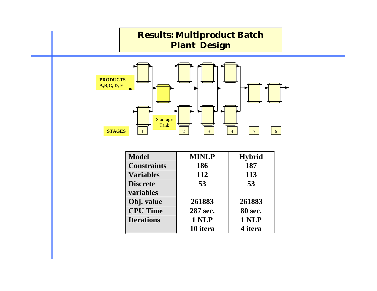![](_page_25_Figure_0.jpeg)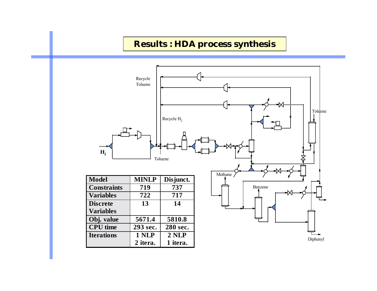### **Results : HDA process synthesis**

![](_page_26_Figure_1.jpeg)